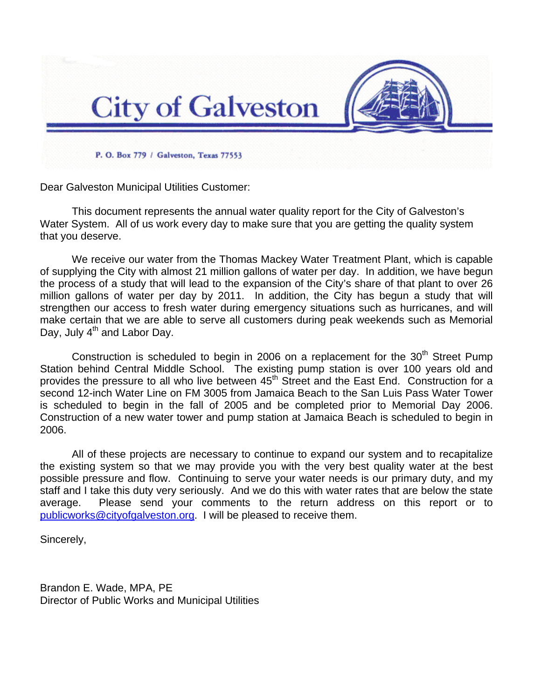

Dear Galveston Municipal Utilities Customer:

This document represents the annual water quality report for the City of Galveston's Water System. All of us work every day to make sure that you are getting the quality system that you deserve.

We receive our water from the Thomas Mackey Water Treatment Plant, which is capable of supplying the City with almost 21 million gallons of water per day. In addition, we have begun the process of a study that will lead to the expansion of the City's share of that plant to over 26 million gallons of water per day by 2011. In addition, the City has begun a study that will strengthen our access to fresh water during emergency situations such as hurricanes, and will make certain that we are able to serve all customers during peak weekends such as Memorial Day, July 4<sup>th</sup> and Labor Day.

Construction is scheduled to begin in 2006 on a replacement for the  $30<sup>th</sup>$  Street Pump Station behind Central Middle School. The existing pump station is over 100 years old and provides the pressure to all who live between 45<sup>th</sup> Street and the East End. Construction for a second 12-inch Water Line on FM 3005 from Jamaica Beach to the San Luis Pass Water Tower is scheduled to begin in the fall of 2005 and be completed prior to Memorial Day 2006. Construction of a new water tower and pump station at Jamaica Beach is scheduled to begin in 2006.

All of these projects are necessary to continue to expand our system and to recapitalize the existing system so that we may provide you with the very best quality water at the best possible pressure and flow. Continuing to serve your water needs is our primary duty, and my staff and I take this duty very seriously. And we do this with water rates that are below the state average. Please send your comments to the return address on this report or to [publicworks@cityofgalveston.org](mailto:publicworks@cityofgalveston.org). I will be pleased to receive them.

Sincerely,

Brandon E. Wade, MPA, PE Director of Public Works and Municipal Utilities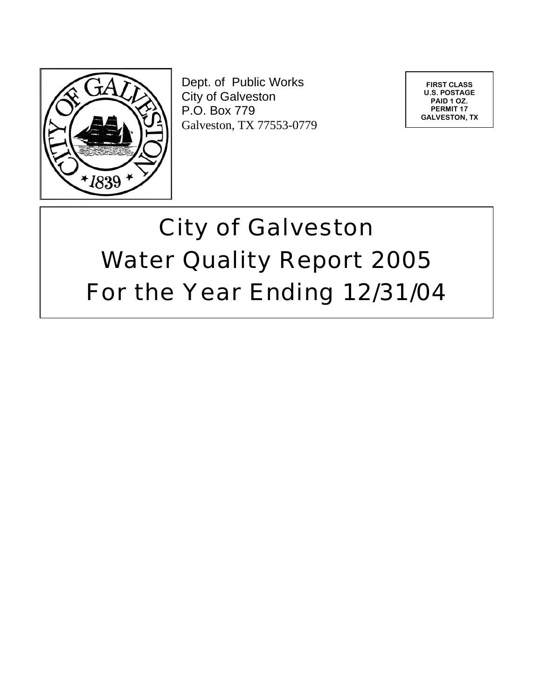

Dept. of Public Works City of Galveston P.O. Box 779 Galveston, TX 77553-0779

**FIRST CLASS U.S. POSTAGE PAID 1 OZ. PERMIT 17 GALVESTON, TX** 

# City of Galveston Water Quality Report 2005 For the Year Ending 12/31/04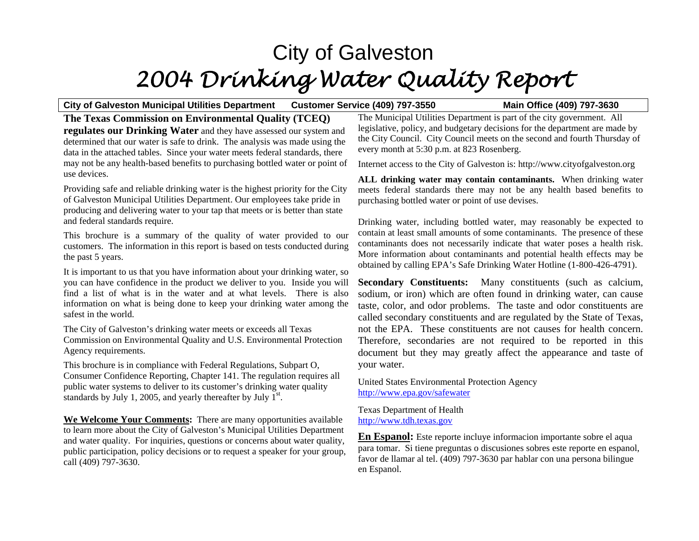## City of Galveston *2004 Drinking Water Quality Report*

#### **City of Galveston Municipal Utilities Department Customer Service (409) 797-3550 Main Office (409) 797-3630**

**The Texas Commission on Environmental Quality (TCEQ) regulates our Drinking Water** and they have assessed our system and determined that our water is safe to drink. The analysis was made using the data in the attached tables. Since your water meets federal standards, there may not be any health-based benefits to purchasing bottled water or point of use devices.

Providing safe and reliable drinking water is the highest priority for the City of Galveston Municipal Utilities Department. Our employees take pride in producing and delivering water to your tap that meets or is better than state and federal standards require.

This brochure is a summary of the quality of water provided to our customers. The information in this report is based on tests conducted during the past 5 years.

It is important to us that you have information about your drinking water, so you can have confidence in the product we deliver to you. Inside you will find a list of what is in the water and at what levels. There is also information on what is being done to keep your drinking water among the safest in the world.

The City of Galveston's drinking water meets or exceeds all Texas Commission on Environmental Quality and U.S. Environmental Protection Agency requirements.

This brochure is in compliance with Federal Regulations, Subpart O, Consumer Confidence Reporting, Chapter 141. The regulation requires all public water systems to deliver to its customer's drinking water quality standards by July 1, 2005, and yearly thereafter by July  $1^{st}$ .

**We Welcome Your Comments:** There are many opportunities available to learn more about the City of Galveston's Municipal Utilities Department and water quality. For inquiries, questions or concerns about water quality, public participation, policy decisions or to request a speaker for your group, call (409) 797-3630.

The Municipal Utilities Department is part of the city government. All legislative, policy, and budgetary decisions for the department are made by the City Council. City Council meets on the second and fourth Thursday of every month at 5:30 p.m. at 823 Rosenberg.

Internet access to the City of Galveston is: http://www.cityofgalveston.org

**ALL drinking water may contain contaminants.** When drinking water meets federal standards there may not be any health based benefits to purchasing bottled water or point of use devises.

Drinking water, including bottled water, may reasonably be expected to contain at least small amounts of some contaminants. The presence of these contaminants does not necessarily indicate that water poses a health risk. More information about contaminants and potential health effects may be obtained by calling EPA's Safe Drinking Water Hotline (1-800-426-4791).

**Secondary Constituents:** Many constituents (such as calcium, sodium, or iron) which are often found in drinking water, can cause taste, color, and odor problems. The taste and odor constituents are called secondary constituents and are regulated by the State of Texas, not the EPA. These constituents are not causes for health concern. Therefore, secondaries are not required to be reported in this document but they may greatly affect the appearance and taste of your water.

United States Environmental Protection Agency <http://www.epa.gov/safewater>

Texas Department of Health [http://www.tdh.texas.gov](http://www.tdh.texas.gov/)

**En Espanol:** Este reporte incluye informacion importante sobre el aqua para tomar. Si tiene preguntas o discusiones sobres este reporte en espanol, favor de llamar al tel. (409) 797-3630 par hablar con una persona bilingue en Espanol.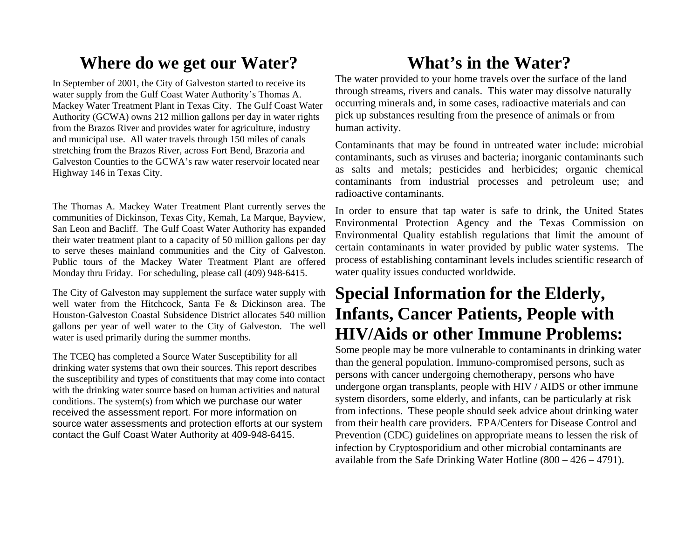### **Where do we get our Water?**

In September of 2001, the City of Galveston started to receive its water supply from the Gulf Coast Water Authority's Thomas A. Mackey Water Treatment Plant in Texas City. The Gulf Coast Water Authority (GCWA) owns 212 million gallons per day in water rights from the Brazos River and provides water for agriculture, industry and municipal use. All water travels through 150 miles of canals stretching from the Brazos River, across Fort Bend, Brazoria and Galveston Counties to the GCWA's raw water reservoir located near Highway 146 in Texas City.

The Thomas A. Mackey Water Treatment Plant currently serves the communities of Dickinson, Texas City, Kemah, La Marque, Bayview, San Leon and Bacliff. The Gulf Coast Water Authority has expanded their water treatment plant to a capacity of 50 million gallons per day to serve theses mainland communities and the City of Galveston. Public tours of the Mackey Water Treatment Plant are offered Monday thru Friday. For scheduling, please call (409) 948-6415.

The City of Galveston may supplement the surface water supply with well water from the Hitchcock, Santa Fe & Dickinson area. The Houston-Galveston Coastal Subsidence District allocates 540 million gallons per year of well water to the City of Galveston. The well water is used primarily during the summer months.

The TCEQ has completed a Source Water Susceptibility for all drinking water systems that own their sources. This report describes the susceptibility and types of constituents that may come into contact with the drinking water source based on human activities and natural conditions. The system(s) from which we purchase our water received the assessment report. For more information on source water assessments and protection efforts at our system contact the Gulf Coast Water Authority at 409-948-6415.

## **What's in the Water?**

The water provided to your home travels over the surface of the land through streams, rivers and canals. This water may dissolve naturally occurring minerals and, in some cases, radioactive materials and can pick up substances resulting from the presence of animals or from human activity.

Contaminants that may be found in untreated water include: microbial contaminants, such as viruses and bacteria; inorganic contaminants such as salts and metals; pesticides and herbicides; organic chemical contaminants from industrial processes and petroleum use; and radioactive contaminants.

In order to ensure that tap water is safe to drink, the United States Environmental Protection Agency and the Texas Commission on Environmental Quality establish regulations that limit the amount of certain contaminants in water provided by public water systems. The process of establishing contaminant levels includes scientific research of water quality issues conducted worldwide.

## **Special Information for the Elderly, Infants, Cancer Patients, People with HIV/Aids or other Immune Problems:**

Some people may be more vulnerable to contaminants in drinking water than the general population. Immuno-compromised persons, such as persons with cancer undergoing chemotherapy, persons who have undergone organ transplants, people with HIV / AIDS or other immune system disorders, some elderly, and infants, can be particularly at risk from infections. These people should seek advice about drinking water from their health care providers. EPA/Centers for Disease Control and Prevention (CDC) guidelines on appropriate means to lessen the risk of infection by Cryptosporidium and other microbial contaminants are available from the Safe Drinking Water Hotline (800 – 426 – 4791).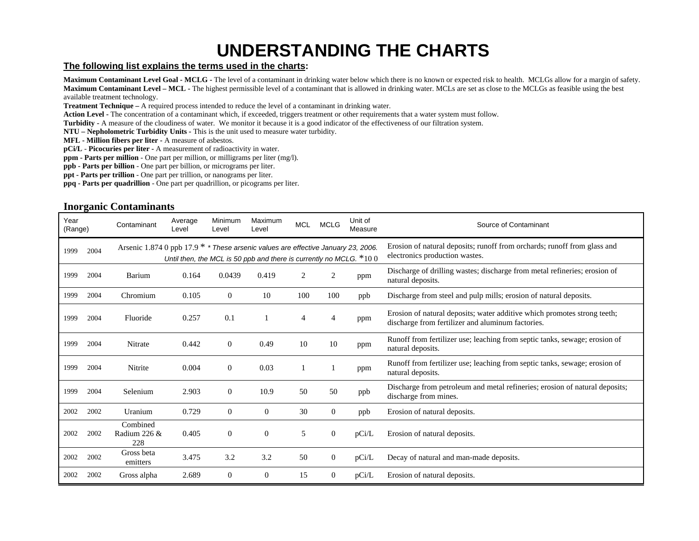## **UNDERSTANDING THE CHARTS**

#### **The following list explains the terms used in the charts:**

**Maximum Contaminant Level Goal - MCLG -** The level of a contaminant in drinking water below which there is no known or expected risk to health. MCLGs allow for a margin of safety. **Maximum Contaminant Level – MCL -** The highest permissible level of a contaminant that is allowed in drinking water. MCLs are set as close to the MCLGs as feasible using the best available treatment technology.

**Treatment Technique –** A required process intended to reduce the level of a contaminant in drinking water.

Action Level - The concentration of a contaminant which, if exceeded, triggers treatment or other requirements that a water system must follow.

Turbidity - A measure of the cloudiness of water. We monitor it because it is a good indicator of the effectiveness of our filtration system.

**NTU – Nepholometric Turbidity Units -** This is the unit used to measure water turbidity.

**MFL - Million fibers per liter -** A measure of asbestos.

**pCi/L** - **Picocuries per liter -** A measurement of radioactivity in water.

**ppm - Parts per million** - One part per million, or milligrams per liter (mg/l).

**ppb - Parts per billion** - One part per billion, or micrograms per liter.

**ppt - Parts per trillion** - One part per trillion, or nanograms per liter.

**ppq - Parts per quadrillion** - One part per quadrillion, or picograms per liter.

#### **Inorganic Contaminants**

| Year<br>(Range) |      | Contaminant                                                                         | Average<br>Level | Minimum<br>Level | Maximum<br>Level                                                     | <b>MCL</b>     | <b>MCLG</b>    | Unit of<br>Measure                                                                                         | Source of Contaminant                                                                                                         |
|-----------------|------|-------------------------------------------------------------------------------------|------------------|------------------|----------------------------------------------------------------------|----------------|----------------|------------------------------------------------------------------------------------------------------------|-------------------------------------------------------------------------------------------------------------------------------|
| 1999            | 2004 | Arsenic 1.874 0 ppb 17.9 $*$ * These arsenic values are effective January 23, 2006. |                  |                  | Until then, the MCL is 50 ppb and there is currently no MCLG. $*100$ |                |                | Erosion of natural deposits; runoff from orchards; runoff from glass and<br>electronics production wastes. |                                                                                                                               |
| 1999            | 2004 | Barium                                                                              | 0.164            | 0.0439           | 0.419                                                                | $\overline{c}$ |                | ppm                                                                                                        | Discharge of drilling wastes; discharge from metal refineries; erosion of<br>natural deposits.                                |
| 1999            | 2004 | Chromium                                                                            | 0.105            | $\overline{0}$   | 10                                                                   | 100            | 100            | ppb                                                                                                        | Discharge from steel and pulp mills; erosion of natural deposits.                                                             |
| 1999            | 2004 | Fluoride                                                                            | 0.257            | 0.1              |                                                                      | 4              | 4              | ppm                                                                                                        | Erosion of natural deposits; water additive which promotes strong teeth;<br>discharge from fertilizer and aluminum factories. |
| 1999            | 2004 | Nitrate                                                                             | 0.442            | $\overline{0}$   | 0.49                                                                 | 10             | 10             | ppm                                                                                                        | Runoff from fertilizer use; leaching from septic tanks, sewage; erosion of<br>natural deposits.                               |
| 1999            | 2004 | Nitrite                                                                             | 0.004            | $\Omega$         | 0.03                                                                 |                |                | ppm                                                                                                        | Runoff from fertilizer use; leaching from septic tanks, sewage; erosion of<br>natural deposits.                               |
| 1999            | 2004 | Selenium                                                                            | 2.903            | $\Omega$         | 10.9                                                                 | 50             | 50             | ppb                                                                                                        | Discharge from petroleum and metal refineries; erosion of natural deposits;<br>discharge from mines.                          |
| 2002            | 2002 | Uranium                                                                             | 0.729            | $\overline{0}$   | $\theta$                                                             | 30             | $\overline{0}$ | ppb                                                                                                        | Erosion of natural deposits.                                                                                                  |
| 2002            | 2002 | Combined<br>Radium 226 &<br>228                                                     | 0.405            | $\Omega$         | $\mathbf{0}$                                                         | 5              | 0              | pCi/L                                                                                                      | Erosion of natural deposits.                                                                                                  |
| 2002            | 2002 | Gross beta<br>emitters                                                              | 3.475            | 3.2              | 3.2                                                                  | 50             | $\overline{0}$ | pCi/L                                                                                                      | Decay of natural and man-made deposits.                                                                                       |
| 2002            | 2002 | Gross alpha                                                                         | 2.689            | $\Omega$         | $\theta$                                                             | 15             | $\bf{0}$       | pCi/L                                                                                                      | Erosion of natural deposits.                                                                                                  |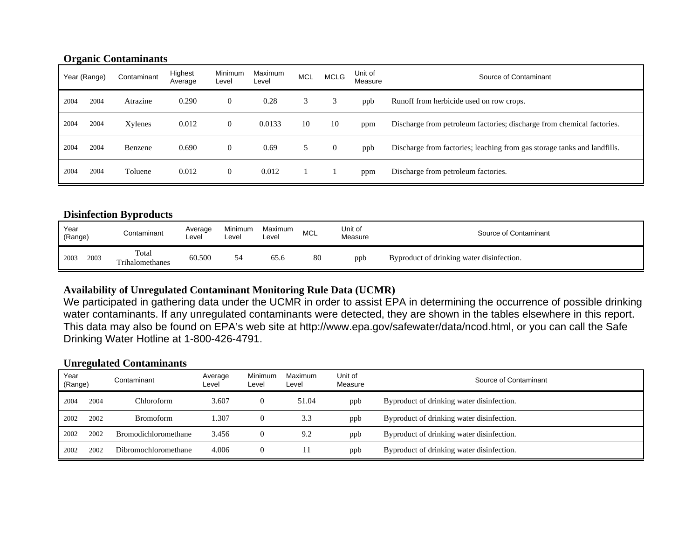#### **Organic Contaminants**

|      | Year (Range) | Contaminant | Highest<br>Average | Minimum<br>Level | Maximum<br>Level | <b>MCL</b> | <b>MCLG</b>    | Unit of<br>Measure | Source of Contaminant                                                    |
|------|--------------|-------------|--------------------|------------------|------------------|------------|----------------|--------------------|--------------------------------------------------------------------------|
| 2004 | 2004         | Atrazine    | 0.290              | $\overline{0}$   | 0.28             |            | 3              | ppb                | Runoff from herbicide used on row crops.                                 |
| 2004 | 2004         | Xylenes     | 0.012              | $\overline{0}$   | 0.0133           | 10         | 10             | ppm                | Discharge from petroleum factories; discharge from chemical factories.   |
| 2004 | 2004         | Benzene     | 0.690              | $\overline{0}$   | 0.69             |            | $\overline{0}$ | ppb                | Discharge from factories; leaching from gas storage tanks and landfills. |
| 2004 | 2004         | Toluene     | 0.012              | $\overline{0}$   | 0.012            |            |                | ppm                | Discharge from petroleum factories.                                      |

#### **Disinfection Byproducts**

| Year<br>(Range) | Contaminant              | Average<br>∟evel | <b>Minimum</b><br>Level | Maximum<br>Level | MCL | Unit of<br>Measure | Source of Contaminant                     |
|-----------------|--------------------------|------------------|-------------------------|------------------|-----|--------------------|-------------------------------------------|
| 2003<br>2003    | Total<br>Trihalomethanes | 60.500           |                         | 65.6             | 80  | ppb                | Byproduct of drinking water disinfection. |

#### **Availability of Unregulated Contaminant Monitoring Rule Data (UCMR)**

We participated in gathering data under the UCMR in order to assist EPA in determining the occurrence of possible drinking water contaminants. If any unregulated contaminants were detected, they are shown in the tables elsewhere in this report. This data may also be found on EPA's web site at http://www.epa.gov/safewater/data/ncod.html, or you can call the Safe Drinking Water Hotline at 1-800-426-4791.

#### **Unregulated Contaminants**

| Year<br>(Range) |      | Contaminant                 | Average<br>Level | Minimum<br>Level | Maximum<br>Level | Unit of<br>Measure | Source of Contaminant                     |
|-----------------|------|-----------------------------|------------------|------------------|------------------|--------------------|-------------------------------------------|
| 2004            | 2004 | Chloroform                  | 3.607            |                  | 51.04            | ppb                | Byproduct of drinking water disinfection. |
| 2002            | 2002 | <b>Bromoform</b>            | 1.307            |                  | 3.3              | ppb                | Byproduct of drinking water disinfection. |
| 2002            | 2002 | <b>Bromodichloromethane</b> | 3.456            |                  | 9.2              | ppb                | Byproduct of drinking water disinfection. |
| 2002            | 2002 | Dibromochloromethane        | 4.006            |                  |                  | ppb                | Byproduct of drinking water disinfection. |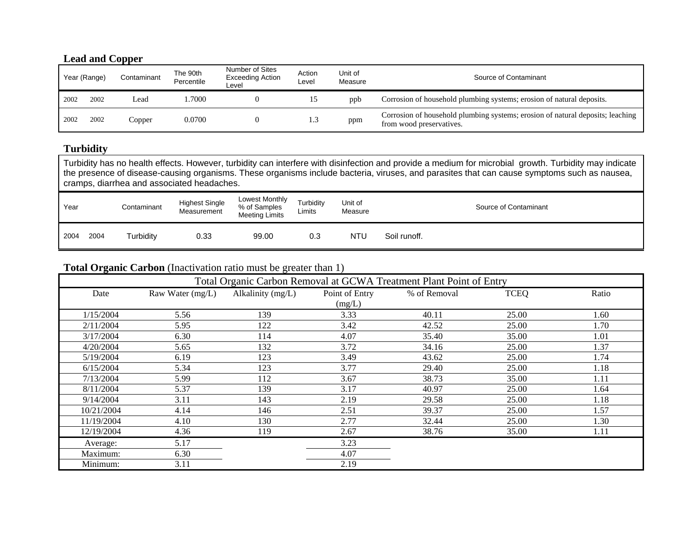#### **Lead and Copper**

| Year (Range) |      | Contaminant | The 90th<br>Percentile | Number of Sites<br><b>Exceeding Action</b><br>∟evel | Action<br>Level | Unit of<br>Measure | Source of Contaminant                                                                                      |
|--------------|------|-------------|------------------------|-----------------------------------------------------|-----------------|--------------------|------------------------------------------------------------------------------------------------------------|
| 2002         | 2002 | Lead        | .7000                  |                                                     | 12              | ppb                | Corrosion of household plumbing systems; erosion of natural deposits.                                      |
| 2002         | 2002 | Copper      | 0.0700                 |                                                     | 1.3             | ppm                | Corrosion of household plumbing systems; erosion of natural deposits; leaching<br>from wood preservatives. |

#### **Turbidity**

Turbidity has no health effects. However, turbidity can interfere with disinfection and provide a medium for microbial growth. Turbidity may indicate the presence of disease-causing organisms. These organisms include bacteria, viruses, and parasites that can cause symptoms such as nausea, cramps, diarrhea and associated headaches.

| Year         | Contaminant | <b>Highest Single</b><br>Measurement | Lowest Monthly<br>% of Samples<br>Meeting Limits | Turbidity<br>Limits | Unit of<br>Measure |              | Source of Contaminant |
|--------------|-------------|--------------------------------------|--------------------------------------------------|---------------------|--------------------|--------------|-----------------------|
| 2004<br>2004 | Turbidity   | 0.33                                 | 99.00                                            | 0.3                 | NTU                | Soil runoff. |                       |

#### **Total Organic Carbon** (Inactivation ratio must be greater than 1)

|            | Total Organic Carbon Removal at GCWA Treatment Plant Point of Entry |                   |                |              |             |       |  |  |  |  |  |  |
|------------|---------------------------------------------------------------------|-------------------|----------------|--------------|-------------|-------|--|--|--|--|--|--|
| Date       | Raw Water $(mg/L)$                                                  | Alkalinity (mg/L) | Point of Entry | % of Removal | <b>TCEQ</b> | Ratio |  |  |  |  |  |  |
|            |                                                                     |                   | (mg/L)         |              |             |       |  |  |  |  |  |  |
| 1/15/2004  | 5.56                                                                | 139               | 3.33           | 40.11        | 25.00       | 1.60  |  |  |  |  |  |  |
| 2/11/2004  | 5.95                                                                | 122               | 3.42           | 42.52        | 25.00       | 1.70  |  |  |  |  |  |  |
| 3/17/2004  | 6.30                                                                | 114               | 4.07           | 35.40        | 35.00       | 1.01  |  |  |  |  |  |  |
| 4/20/2004  | 5.65                                                                | 132               | 3.72           | 34.16        | 25.00       | 1.37  |  |  |  |  |  |  |
| 5/19/2004  | 6.19                                                                | 123               | 3.49           | 43.62        | 25.00       | 1.74  |  |  |  |  |  |  |
| 6/15/2004  | 5.34                                                                | 123               | 3.77           | 29.40        | 25.00       | 1.18  |  |  |  |  |  |  |
| 7/13/2004  | 5.99                                                                | 112               | 3.67           | 38.73        | 35.00       | 1.11  |  |  |  |  |  |  |
| 8/11/2004  | 5.37                                                                | 139               | 3.17           | 40.97        | 25.00       | 1.64  |  |  |  |  |  |  |
| 9/14/2004  | 3.11                                                                | 143               | 2.19           | 29.58        | 25.00       | 1.18  |  |  |  |  |  |  |
| 10/21/2004 | 4.14                                                                | 146               | 2.51           | 39.37        | 25.00       | 1.57  |  |  |  |  |  |  |
| 11/19/2004 | 4.10                                                                | 130               | 2.77           | 32.44        | 25.00       | 1.30  |  |  |  |  |  |  |
| 12/19/2004 | 4.36                                                                | 119               | 2.67           | 38.76        | 35.00       | 1.11  |  |  |  |  |  |  |
| Average:   | 5.17                                                                |                   | 3.23           |              |             |       |  |  |  |  |  |  |
| Maximum:   | 6.30                                                                |                   | 4.07           |              |             |       |  |  |  |  |  |  |
| Minimum:   | 3.11                                                                |                   | 2.19           |              |             |       |  |  |  |  |  |  |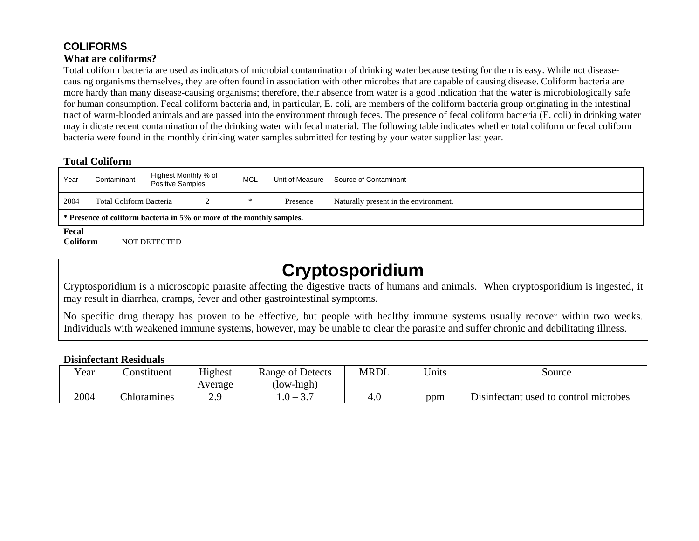### **COLIFORMS**

#### **What are coliforms?**

Total coliform bacteria are used as indicators of microbial contamination of drinking water because testing for them is easy. While not diseasecausing organisms themselves, they are often found in association with other microbes that are capable of causing disease. Coliform bacteria are more hardy than many disease-causing organisms; therefore, their absence from water is a good indication that the water is microbiologically safe for human consumption. Fecal coliform bacteria and, in particular, E. coli, are members of the coliform bacteria group originating in the intestinal tract of warm-blooded animals and are passed into the environment through feces. The presence of fecal coliform bacteria (E. coli) in drinking water may indicate recent contamination of the drinking water with fecal material. The following table indicates whether total coliform or fecal coliform bacteria were found in the monthly drinking water samples submitted for testing by your water supplier last year.

#### **Total Coliform**

| Year             | Contaminant                                                           | Highest Monthly % of<br>Positive Samples |  | <b>MCL</b> | Unit of Measure | Source of Contaminant                 |  |  |  |
|------------------|-----------------------------------------------------------------------|------------------------------------------|--|------------|-----------------|---------------------------------------|--|--|--|
| 2004             | Total Coliform Bacteria                                               |                                          |  |            | Presence        | Naturally present in the environment. |  |  |  |
|                  | * Presence of coliform bacteria in 5% or more of the monthly samples. |                                          |  |            |                 |                                       |  |  |  |
| $E_{\text{max}}$ |                                                                       |                                          |  |            |                 |                                       |  |  |  |

**Fecal** 

**Coliform** NOT DETECTED

## **Cryptosporidium**

Cryptosporidium is a microscopic parasite affecting the digestive tracts of humans and animals. When cryptosporidium is ingested, it may result in diarrhea, cramps, fever and other gastrointestinal symptoms.

No specific drug therapy has proven to be effective, but people with healthy immune systems usually recover within two weeks. Individuals with weakened immune systems, however, may be unable to clear the parasite and suffer chronic and debilitating illness.

#### **Disinfectant Residuals**

| $\mathbf{v}$<br>r ear | <b>Constituent</b> | Highest<br>Average | Range of Detects<br>$\text{low-high}$ | MRDL | $T$ $T$ $T$ $T$ $T$<br>Jnıts | Source                                                  |
|-----------------------|--------------------|--------------------|---------------------------------------|------|------------------------------|---------------------------------------------------------|
| 2004                  | <b>Chloramines</b> | റ റ<br>ر و ڪ       | $-0$ .<br>.                           | 4.1  | ppm                          | $\mathbf{r}$ .<br>Disinfectant used to control microbes |